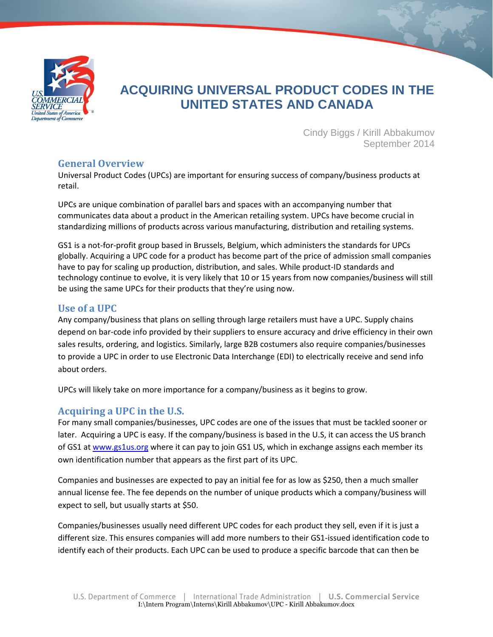

# **ACQUIRING UNIVERSAL PRODUCT CODES IN THE UNITED STATES AND CANADA**

Cindy Biggs / Kirill Abbakumov September 2014

# **General Overview**

Universal Product Codes (UPCs) are important for ensuring success of company/business products at retail.

UPCs are unique combination of parallel bars and spaces with an accompanying number that communicates data about a product in the American retailing system. UPCs have become crucial in standardizing millions of products across various manufacturing, distribution and retailing systems.

GS1 is a not-for-profit group based in Brussels, Belgium, which administers the standards for UPCs globally. Acquiring a UPC code for a product has become part of the price of admission small companies have to pay for scaling up production, distribution, and sales. While product-ID standards and technology continue to evolve, it is very likely that 10 or 15 years from now companies/business will still be using the same UPCs for their products that they're using now.

# **Use of a UPC**

Any company/business that plans on selling through large retailers must have a UPC. Supply chains depend on bar-code info provided by their suppliers to ensure accuracy and drive efficiency in their own sales results, ordering, and logistics. Similarly, large B2B costumers also require companies/businesses to provide a UPC in order to use Electronic Data Interchange (EDI) to electrically receive and send info about orders.

UPCs will likely take on more importance for a company/business as it begins to grow.

# **Acquiring a UPC in the U.S.**

For many small companies/businesses, UPC codes are one of the issues that must be tackled sooner or later. Acquiring a UPC is easy. If the company/business is based in the U.S, it can access the US branch of GS1 at [www.gs1us.org](http://www.gs1us.org/) where it can pay to join GS1 US, which in exchange assigns each member its own identification number that appears as the first part of its UPC.

Companies and businesses are expected to pay an initial fee for as low as \$250, then a much smaller annual license fee. The fee depends on the number of unique products which a company/business will expect to sell, but usually starts at \$50.

Companies/businesses usually need different UPC codes for each product they sell, even if it is just a different size. This ensures companies will add more numbers to their GS1-issued identification code to identify each of their products. Each UPC can be used to produce a specific barcode that can then be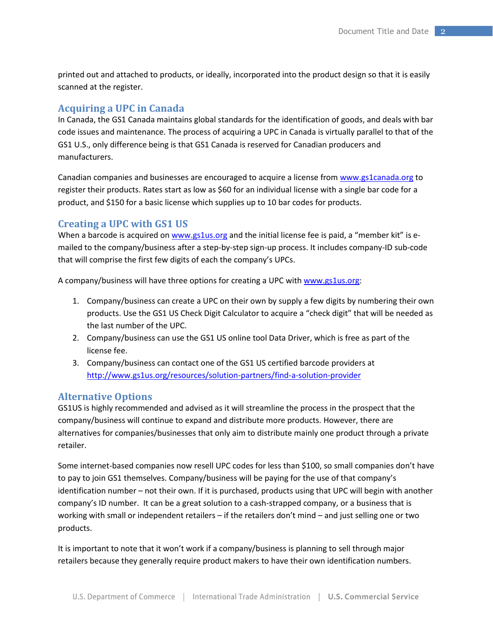printed out and attached to products, or ideally, incorporated into the product design so that it is easily scanned at the register.

## **Acquiring a UPC in Canada**

In Canada, the GS1 Canada maintains global standards for the identification of goods, and deals with bar code issues and maintenance. The process of acquiring a UPC in Canada is virtually parallel to that of the GS1 U.S., only difference being is that GS1 Canada is reserved for Canadian producers and manufacturers.

Canadian companies and businesses are encouraged to acquire a license from [www.gs1canada.org](http://www.gs1canada.org/) to register their products. Rates start as low as \$60 for an individual license with a single bar code for a product, and \$150 for a basic license which supplies up to 10 bar codes for products.

### **Creating a UPC with GS1 US**

When a barcode is acquired on [www.gs1us.org](http://www.gs1us.org/) and the initial license fee is paid, a "member kit" is emailed to the company/business after a step-by-step sign-up process. It includes company-ID sub-code that will comprise the first few digits of each the company's UPCs.

A company/business will have three options for creating a UPC with [www.gs1us.org:](http://www.gs1us.org/)

- 1. Company/business can create a UPC on their own by supply a few digits by numbering their own products. Use the GS1 US Check Digit Calculator to acquire a "check digit" that will be needed as the last number of the UPC.
- 2. Company/business can use the GS1 US online tool Data Driver, which is free as part of the license fee.
- 3. Company/business can contact one of the GS1 US certified barcode providers at <http://www.gs1us.org/resources/solution-partners/find-a-solution-provider>

#### **Alternative Options**

GS1US is highly recommended and advised as it will streamline the process in the prospect that the company/business will continue to expand and distribute more products. However, there are alternatives for companies/businesses that only aim to distribute mainly one product through a private retailer.

Some internet-based companies now resell UPC codes for less than \$100, so small companies don't have to pay to join GS1 themselves. Company/business will be paying for the use of that company's identification number – not their own. If it is purchased, products using that UPC will begin with another company's ID number. It can be a great solution to a cash-strapped company, or a business that is working with small or independent retailers – if the retailers don't mind – and just selling one or two products.

It is important to note that it won't work if a company/business is planning to sell through major retailers because they generally require product makers to have their own identification numbers.